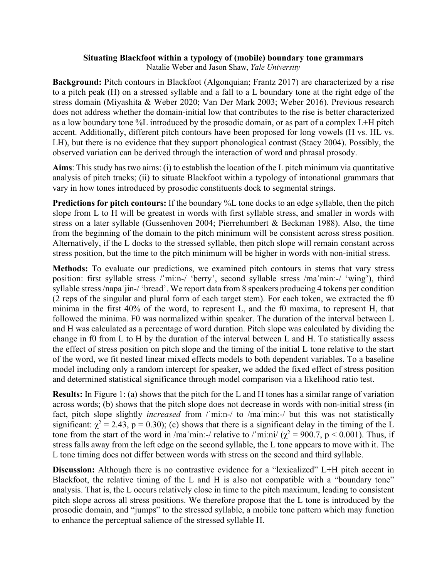## **Situating Blackfoot within a typology of (mobile) boundary tone grammars**

Natalie Weber and Jason Shaw, *Yale University*

**Background:** Pitch contours in Blackfoot (Algonquian; Frantz 2017) are characterized by a rise to a pitch peak (H) on a stressed syllable and a fall to a L boundary tone at the right edge of the stress domain (Miyashita & Weber 2020; Van Der Mark 2003; Weber 2016). Previous research does not address whether the domain-initial low that contributes to the rise is better characterized as a low boundary tone %L introduced by the prosodic domain, or as part of a complex L+H pitch accent. Additionally, different pitch contours have been proposed for long vowels (H vs. HL vs. LH), but there is no evidence that they support phonological contrast (Stacy 2004). Possibly, the observed variation can be derived through the interaction of word and phrasal prosody.

**Aims**: This study has two aims: (i) to establish the location of the L pitch minimum via quantitative analysis of pitch tracks; (ii) to situate Blackfoot within a typology of intonational grammars that vary in how tones introduced by prosodic constituents dock to segmental strings.

**Predictions for pitch contours:** If the boundary %L tone docks to an edge syllable, then the pitch slope from L to H will be greatest in words with first syllable stress, and smaller in words with stress on a later syllable (Gussenhoven 2004; Pierrehumbert & Beckman 1988). Also, the time from the beginning of the domain to the pitch minimum will be consistent across stress position. Alternatively, if the L docks to the stressed syllable, then pitch slope will remain constant across stress position, but the time to the pitch minimum will be higher in words with non-initial stress.

**Methods:** To evaluate our predictions, we examined pitch contours in stems that vary stress position: first syllable stress /ˈmiːn-/ 'berry', second syllable stress /maˈminː-/ 'wing'), third syllable stress /napa<sup>'</sup>jin-/ 'bread'. We report data from 8 speakers producing 4 tokens per condition (2 reps of the singular and plural form of each target stem). For each token, we extracted the f0 minima in the first 40% of the word, to represent L, and the f0 maxima, to represent H, that followed the minima. F0 was normalized within speaker. The duration of the interval between L and H was calculated as a percentage of word duration. Pitch slope was calculated by dividing the change in f0 from L to H by the duration of the interval between L and H. To statistically assess the effect of stress position on pitch slope and the timing of the initial L tone relative to the start of the word, we fit nested linear mixed effects models to both dependent variables. To a baseline model including only a random intercept for speaker, we added the fixed effect of stress position and determined statistical significance through model comparison via a likelihood ratio test.

**Results:** In Figure 1: (a) shows that the pitch for the L and H tones has a similar range of variation across words; (b) shows that the pitch slope does not decrease in words with non-initial stress (in fact, pitch slope slightly *increased* from /ˈmiːn-/ to /maˈminː-/ but this was not statistically significant:  $\chi^2 = 2.43$ , p = 0.30); (c) shows that there is a significant delay in the timing of the L tone from the start of the word in /ma'min:-/ relative to /'mi:ni/ ( $\chi^2$  = 900.7, p < 0.001). Thus, if stress falls away from the left edge on the second syllable, the L tone appears to move with it. The L tone timing does not differ between words with stress on the second and third syllable.

**Discussion:** Although there is no contrastive evidence for a "lexicalized" L+H pitch accent in Blackfoot, the relative timing of the L and H is also not compatible with a "boundary tone" analysis. That is, the L occurs relatively close in time to the pitch maximum, leading to consistent pitch slope across all stress positions. We therefore propose that the L tone is introduced by the prosodic domain, and "jumps" to the stressed syllable, a mobile tone pattern which may function to enhance the perceptual salience of the stressed syllable H.